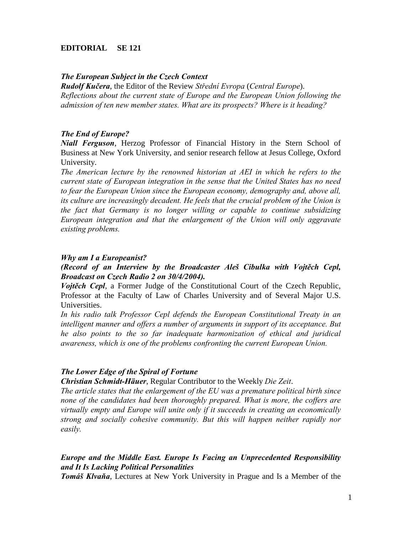## **EDITORIAL SE 121**

#### *The European Subject in the Czech Context*

*Rudolf Kučera*, the Editor of the Review *Střední Evropa* (*Central Europe*). *Reflections about the current state of Europe and the European Union following the admission of ten new member states. What are its prospects? Where is it heading?* 

#### *The End of Europe?*

*Niall Ferguson*, Herzog Professor of Financial History in the Stern School of Business at New York University, and senior research fellow at Jesus College, Oxford University.

*The American lecture by the renowned historian at AEI in which he refers to the current state of European integration in the sense that the United States has no need to fear the European Union since the European economy, demography and, above all, its culture are increasingly decadent. He feels that the crucial problem of the Union is the fact that Germany is no longer willing or capable to continue subsidizing European integration and that the enlargement of the Union will only aggravate existing problems.*

#### *Why am I a Europeanist?*

*(Record of an Interview by the Broadcaster Aleš Cibulka with Vojtěch Cepl, Broadcast on Czech Radio 2 on 30/4/2004).* 

*Vojtěch Cepl*, a Former Judge of the Constitutional Court of the Czech Republic, Professor at the Faculty of Law of Charles University and of Several Major U.S. Universities.

In his radio talk Professor Cepl defends the European Constitutional Treaty in an intelligent manner and offers a number of arguments in support of its acceptance. But *he also points to the so far inadequate harmonization of ethical and juridical awareness, which is one of the problems confronting the current European Union.*

#### *The Lower Edge of the Spiral of Fortune*

*Christian Schmidt-Häuer*, Regular Contributor to the Weekly *Die Zeit*.

*The article states that the enlargement of the EU was a premature political birth since none of the candidates had been thoroughly prepared. What is more, the coffers are virtually empty and Europe will unite only if it succeeds in creating an economically strong and socially cohesive community. But this will happen neither rapidly nor easily.* 

## *Europe and the Middle East. Europe Is Facing an Unprecedented Responsibility and It Is Lacking Political Personalities*

*Tomáš Klvaňa*, Lectures at New York University in Prague and Is a Member of the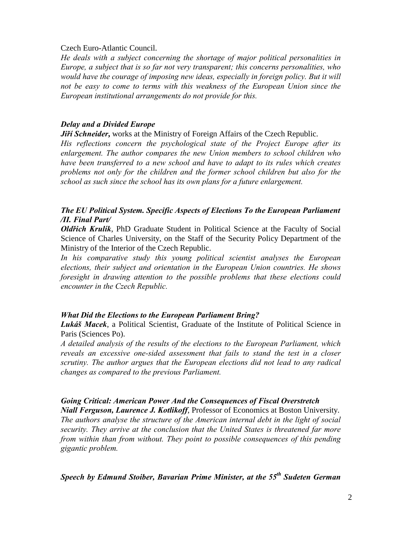#### Czech Euro-Atlantic Council.

*He deals with a subject concerning the shortage of major political personalities in Europe, a subject that is so far not very transparent; this concerns personalities, who would have the courage of imposing new ideas, especially in foreign policy. But it will not be easy to come to terms with this weakness of the European Union since the European institutional arrangements do not provide for this.* 

## *Delay and a Divided Europe*

*Jiří Schneider*, works at the Ministry of Foreign Affairs of the Czech Republic.

*His reflections concern the psychological state of the Project Europe after its enlargement. The author compares the new Union members to school children who have been transferred to a new school and have to adapt to its rules which creates problems not only for the children and the former school children but also for the school as such since the school has its own plans for a future enlargement.*

# *The EU Political System. Specific Aspects of Elections To the European Parliament /II. Final Part/*

*Oldřich Krulík*, PhD Graduate Student in Political Science at the Faculty of Social Science of Charles University, on the Staff of the Security Policy Department of the Ministry of the Interior of the Czech Republic.

*In his comparative study this young political scientist analyses the European elections, their subject and orientation in the European Union countries. He shows foresight in drawing attention to the possible problems that these elections could encounter in the Czech Republic.*

# *What Did the Elections to the European Parliament Bring?*

*Lukáš Macek*, a Political Scientist, Graduate of the Institute of Political Science in Paris (Sciences Po).

*A detailed analysis of the results of the elections to the European Parliament, which reveals an excessive one-sided assessment that fails to stand the test in a closer scrutiny. The author argues that the European elections did not lead to any radical changes as compared to the previous Parliament.* 

# *Going Critical: American Power And the Consequences of Fiscal Overstretch*

*Niall Ferguson, Laurence J. Kotlikoff*, Professor of Economics at Boston University. *The authors analyse the structure of the American internal debt in the light of social security. They arrive at the conclusion that the United States is threatened far more from within than from without. They point to possible consequences of this pending gigantic problem.*

*Speech by Edmund Stoiber, Bavarian Prime Minister, at the 55th Sudeten German*